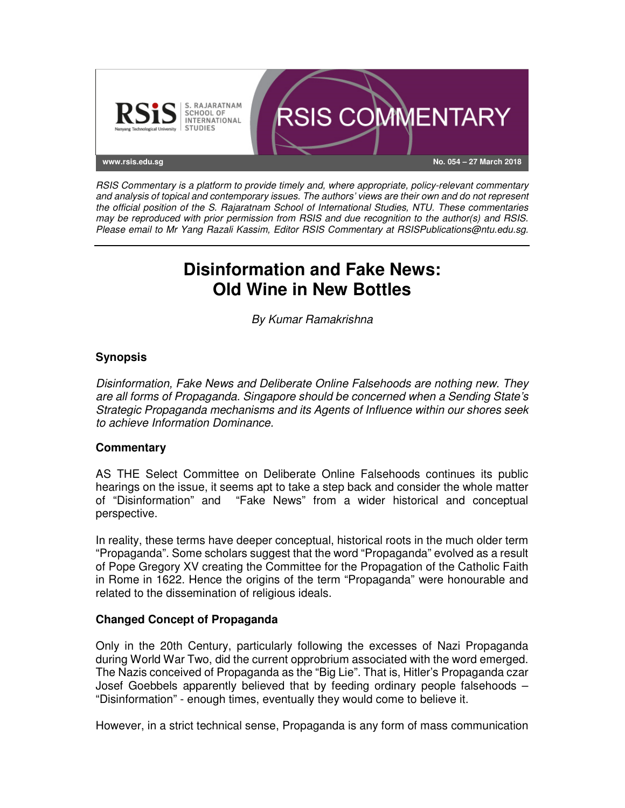

RSIS Commentary is a platform to provide timely and, where appropriate, policy-relevant commentary and analysis of topical and contemporary issues. The authors' views are their own and do not represent the official position of the S. Rajaratnam School of International Studies, NTU. These commentaries may be reproduced with prior permission from RSIS and due recognition to the author(s) and RSIS. Please email to Mr Yang Razali Kassim, Editor RSIS Commentary at RSISPublications@ntu.edu.sg.

# **Disinformation and Fake News: Old Wine in New Bottles**

By Kumar Ramakrishna

## **Synopsis**

Disinformation, Fake News and Deliberate Online Falsehoods are nothing new. They are all forms of Propaganda. Singapore should be concerned when a Sending State's Strategic Propaganda mechanisms and its Agents of Influence within our shores seek to achieve Information Dominance.

## **Commentary**

AS THE Select Committee on Deliberate Online Falsehoods continues its public hearings on the issue, it seems apt to take a step back and consider the whole matter of "Disinformation" and "Fake News" from a wider historical and conceptual perspective.

In reality, these terms have deeper conceptual, historical roots in the much older term "Propaganda". Some scholars suggest that the word "Propaganda" evolved as a result of Pope Gregory XV creating the Committee for the Propagation of the Catholic Faith in Rome in 1622. Hence the origins of the term "Propaganda" were honourable and related to the dissemination of religious ideals.

## **Changed Concept of Propaganda**

Only in the 20th Century, particularly following the excesses of Nazi Propaganda during World War Two, did the current opprobrium associated with the word emerged. The Nazis conceived of Propaganda as the "Big Lie". That is, Hitler's Propaganda czar Josef Goebbels apparently believed that by feeding ordinary people falsehoods – "Disinformation" - enough times, eventually they would come to believe it.

However, in a strict technical sense, Propaganda is any form of mass communication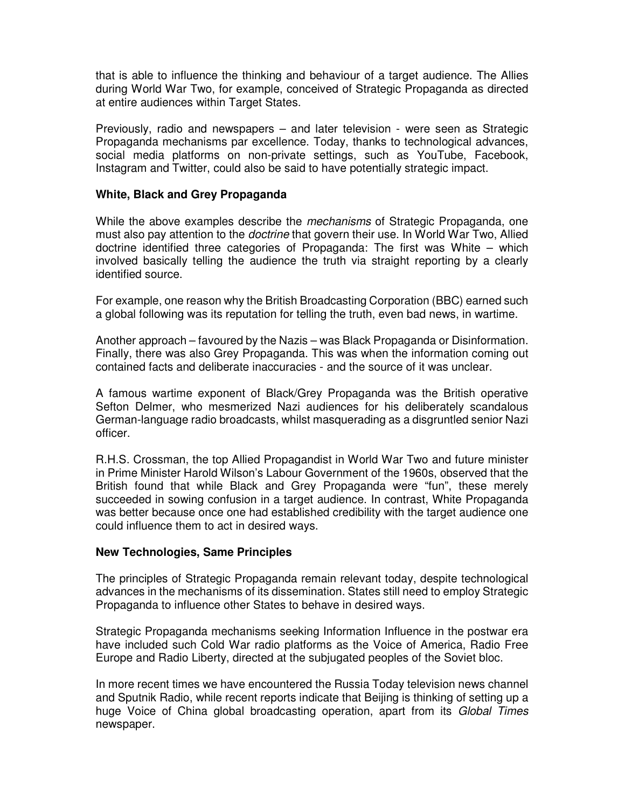that is able to influence the thinking and behaviour of a target audience. The Allies during World War Two, for example, conceived of Strategic Propaganda as directed at entire audiences within Target States.

Previously, radio and newspapers – and later television - were seen as Strategic Propaganda mechanisms par excellence. Today, thanks to technological advances, social media platforms on non-private settings, such as YouTube, Facebook, Instagram and Twitter, could also be said to have potentially strategic impact.

#### **White, Black and Grey Propaganda**

While the above examples describe the *mechanisms* of Strategic Propaganda, one must also pay attention to the *doctrine* that govern their use. In World War Two, Allied doctrine identified three categories of Propaganda: The first was White – which involved basically telling the audience the truth via straight reporting by a clearly identified source.

For example, one reason why the British Broadcasting Corporation (BBC) earned such a global following was its reputation for telling the truth, even bad news, in wartime.

Another approach – favoured by the Nazis – was Black Propaganda or Disinformation. Finally, there was also Grey Propaganda. This was when the information coming out contained facts and deliberate inaccuracies - and the source of it was unclear.

A famous wartime exponent of Black/Grey Propaganda was the British operative Sefton Delmer, who mesmerized Nazi audiences for his deliberately scandalous German-language radio broadcasts, whilst masquerading as a disgruntled senior Nazi officer.

R.H.S. Crossman, the top Allied Propagandist in World War Two and future minister in Prime Minister Harold Wilson's Labour Government of the 1960s, observed that the British found that while Black and Grey Propaganda were "fun", these merely succeeded in sowing confusion in a target audience. In contrast, White Propaganda was better because once one had established credibility with the target audience one could influence them to act in desired ways.

#### **New Technologies, Same Principles**

The principles of Strategic Propaganda remain relevant today, despite technological advances in the mechanisms of its dissemination. States still need to employ Strategic Propaganda to influence other States to behave in desired ways.

Strategic Propaganda mechanisms seeking Information Influence in the postwar era have included such Cold War radio platforms as the Voice of America, Radio Free Europe and Radio Liberty, directed at the subjugated peoples of the Soviet bloc.

In more recent times we have encountered the Russia Today television news channel and Sputnik Radio, while recent reports indicate that Beijing is thinking of setting up a huge Voice of China global broadcasting operation, apart from its Global Times newspaper.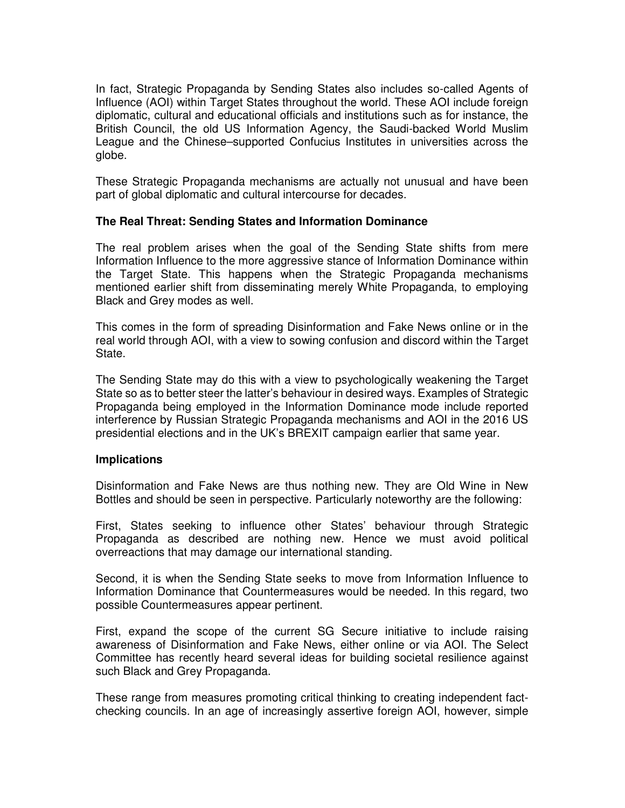In fact, Strategic Propaganda by Sending States also includes so-called Agents of Influence (AOI) within Target States throughout the world. These AOI include foreign diplomatic, cultural and educational officials and institutions such as for instance, the British Council, the old US Information Agency, the Saudi-backed World Muslim League and the Chinese–supported Confucius Institutes in universities across the globe.

These Strategic Propaganda mechanisms are actually not unusual and have been part of global diplomatic and cultural intercourse for decades.

## **The Real Threat: Sending States and Information Dominance**

The real problem arises when the goal of the Sending State shifts from mere Information Influence to the more aggressive stance of Information Dominance within the Target State. This happens when the Strategic Propaganda mechanisms mentioned earlier shift from disseminating merely White Propaganda, to employing Black and Grey modes as well.

This comes in the form of spreading Disinformation and Fake News online or in the real world through AOI, with a view to sowing confusion and discord within the Target State.

The Sending State may do this with a view to psychologically weakening the Target State so as to better steer the latter's behaviour in desired ways. Examples of Strategic Propaganda being employed in the Information Dominance mode include reported interference by Russian Strategic Propaganda mechanisms and AOI in the 2016 US presidential elections and in the UK's BREXIT campaign earlier that same year.

#### **Implications**

Disinformation and Fake News are thus nothing new. They are Old Wine in New Bottles and should be seen in perspective. Particularly noteworthy are the following:

First, States seeking to influence other States' behaviour through Strategic Propaganda as described are nothing new. Hence we must avoid political overreactions that may damage our international standing.

Second, it is when the Sending State seeks to move from Information Influence to Information Dominance that Countermeasures would be needed. In this regard, two possible Countermeasures appear pertinent.

First, expand the scope of the current SG Secure initiative to include raising awareness of Disinformation and Fake News, either online or via AOI. The Select Committee has recently heard several ideas for building societal resilience against such Black and Grey Propaganda.

These range from measures promoting critical thinking to creating independent factchecking councils. In an age of increasingly assertive foreign AOI, however, simple